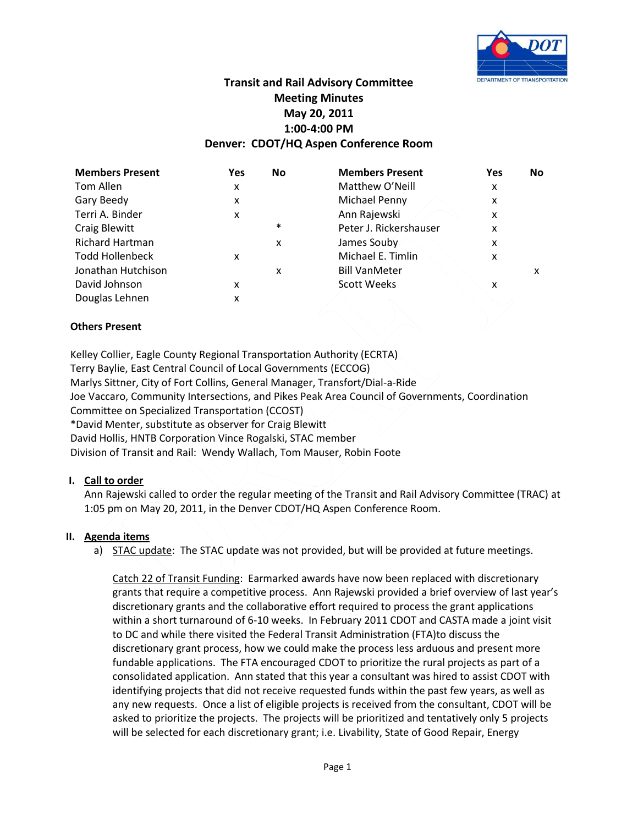

# **Transit and Rail Advisory Committee Meeting Minutes May 20, 2011 1:00-4:00 PM Denver: CDOT/HQ Aspen Conference Room**

| <b>Members Present</b> | Yes | <b>No</b> | <b>Members Present</b> | Yes | No. |
|------------------------|-----|-----------|------------------------|-----|-----|
| Tom Allen              | x   |           | Matthew O'Neill        | x   |     |
| Gary Beedy             | x   |           | Michael Penny          | x   |     |
| Terri A. Binder        | x   |           | Ann Rajewski           | x   |     |
| <b>Craig Blewitt</b>   |     | $\ast$    | Peter J. Rickershauser | x   |     |
| <b>Richard Hartman</b> |     | x         | James Souby            | x   |     |
| <b>Todd Hollenbeck</b> | x   |           | Michael E. Timlin      | x   |     |
| Jonathan Hutchison     |     | x         | <b>Bill VanMeter</b>   |     | x   |
| David Johnson          | x   |           | <b>Scott Weeks</b>     | x   |     |
| Douglas Lehnen         | x   |           |                        |     |     |

# **Others Present**

Kelley Collier, Eagle County Regional Transportation Authority (ECRTA) Terry Baylie, East Central Council of Local Governments (ECCOG) Marlys Sittner, City of Fort Collins, General Manager, Transfort/Dial-a-Ride Joe Vaccaro, Community Intersections, and Pikes Peak Area Council of Governments, Coordination Committee on Specialized Transportation (CCOST) \*David Menter, substitute as observer for Craig Blewitt David Hollis, HNTB Corporation Vince Rogalski, STAC member Division of Transit and Rail: Wendy Wallach, Tom Mauser, Robin Foote

# **I. Call to order**

Ann Rajewski called to order the regular meeting of the Transit and Rail Advisory Committee (TRAC) at 1:05 pm on May 20, 2011, in the Denver CDOT/HQ Aspen Conference Room.

# **II. Agenda items**

a) STAC update: The STAC update was not provided, but will be provided at future meetings.

Catch 22 of Transit Funding: Earmarked awards have now been replaced with discretionary grants that require a competitive process. Ann Rajewski provided a brief overview of last year's discretionary grants and the collaborative effort required to process the grant applications within a short turnaround of 6-10 weeks. In February 2011 CDOT and CASTA made a joint visit to DC and while there visited the Federal Transit Administration (FTA)to discuss the discretionary grant process, how we could make the process less arduous and present more fundable applications. The FTA encouraged CDOT to prioritize the rural projects as part of a consolidated application. Ann stated that this year a consultant was hired to assist CDOT with identifying projects that did not receive requested funds within the past few years, as well as any new requests. Once a list of eligible projects is received from the consultant, CDOT will be asked to prioritize the projects. The projects will be prioritized and tentatively only 5 projects will be selected for each discretionary grant; i.e. Livability, State of Good Repair, Energy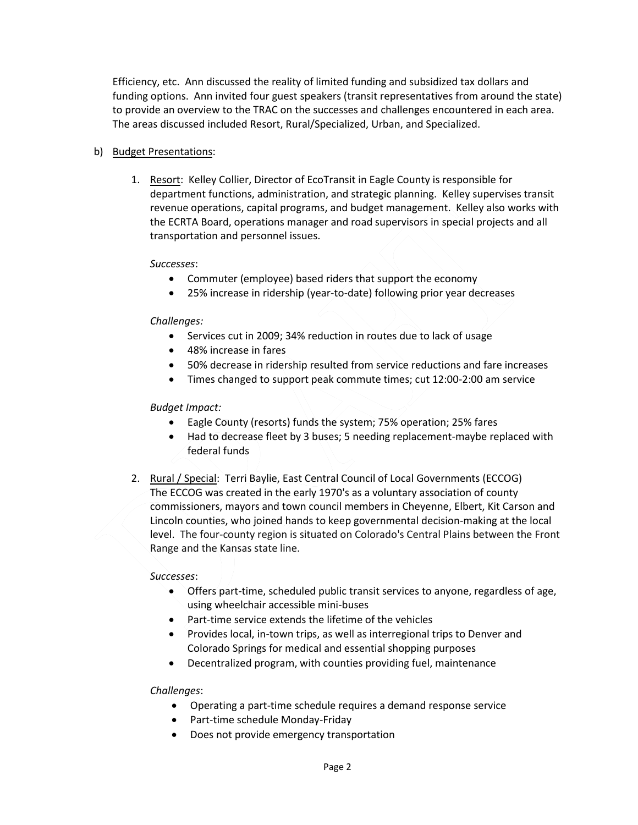Efficiency, etc. Ann discussed the reality of limited funding and subsidized tax dollars and funding options. Ann invited four guest speakers (transit representatives from around the state) to provide an overview to the TRAC on the successes and challenges encountered in each area. The areas discussed included Resort, Rural/Specialized, Urban, and Specialized.

# b) Budget Presentations:

1. Resort: Kelley Collier, Director of EcoTransit in Eagle County is responsible for department functions, administration, and strategic planning. Kelley supervises transit revenue operations, capital programs, and budget management. Kelley also works with the ECRTA Board, operations manager and road supervisors in special projects and all transportation and personnel issues.

# *Successes*:

- Commuter (employee) based riders that support the economy
- 25% increase in ridership (year-to-date) following prior year decreases

# *Challenges:*

- Services cut in 2009; 34% reduction in routes due to lack of usage
- 48% increase in fares
- 50% decrease in ridership resulted from service reductions and fare increases
- Times changed to support peak commute times; cut 12:00-2:00 am service

# *Budget Impact:*

- Eagle County (resorts) funds the system; 75% operation; 25% fares
- Had to decrease fleet by 3 buses; 5 needing replacement-maybe replaced with federal funds
- 2. Rural / Special: Terri Baylie, East Central Council of Local Governments (ECCOG) The ECCOG was created in the early 1970's as a voluntary association of county commissioners, mayors and town council members in Cheyenne, Elbert, Kit Carson and Lincoln counties, who joined hands to keep governmental decision-making at the local level. The four-county region is situated on Colorado's Central Plains between the Front Range and the Kansas state line.

# *Successes*:

- Offers part-time, scheduled public transit services to anyone, regardless of age, using wheelchair accessible mini-buses
- Part-time service extends the lifetime of the vehicles
- Provides local, in-town trips, as well as interregional trips to Denver and Colorado Springs for medical and essential shopping purposes
- Decentralized program, with counties providing fuel, maintenance

# *Challenges*:

- Operating a part-time schedule requires a demand response service
- Part-time schedule Monday-Friday
- Does not provide emergency transportation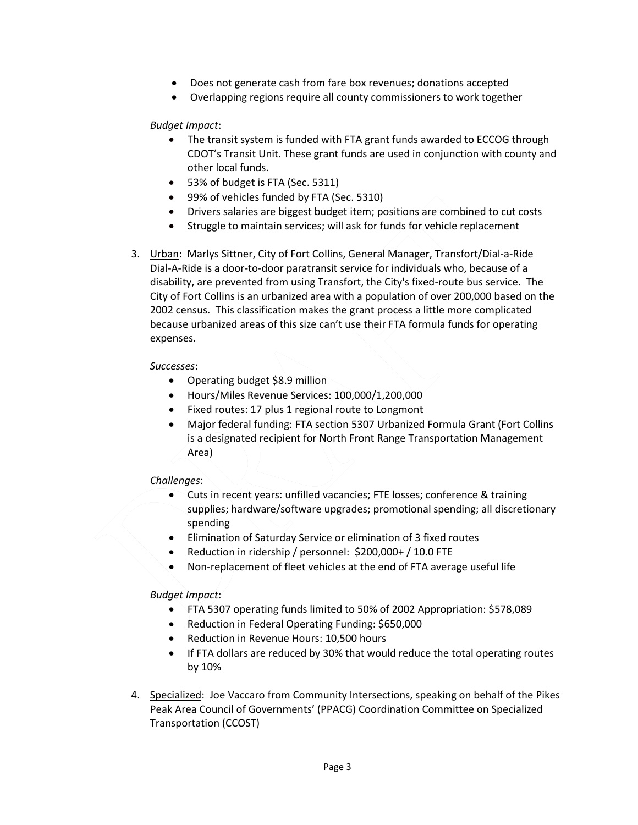- Does not generate cash from fare box revenues; donations accepted
- Overlapping regions require all county commissioners to work together

*Budget Impact*:

- The transit system is funded with FTA grant funds awarded to ECCOG through CDOT's Transit Unit. These grant funds are used in conjunction with county and other local funds.
- 53% of budget is FTA (Sec. 5311)
- 99% of vehicles funded by FTA (Sec. 5310)
- Drivers salaries are biggest budget item; positions are combined to cut costs
- Struggle to maintain services; will ask for funds for vehicle replacement
- 3. Urban: Marlys Sittner, City of Fort Collins, General Manager, Transfort/Dial-a-Ride Dial-A-Ride is a door-to-door paratransit service for individuals who, because of a disability, are prevented from using Transfort, the City's fixed-route bus service. The City of Fort Collins is an urbanized area with a population of over 200,000 based on the 2002 census. This classification makes the grant process a little more complicated because urbanized areas of this size can't use their FTA formula funds for operating expenses.

*Successes*:

- Operating budget \$8.9 million
- Hours/Miles Revenue Services: 100,000/1,200,000
- Fixed routes: 17 plus 1 regional route to Longmont
- Major federal funding: FTA section 5307 Urbanized Formula Grant (Fort Collins is a designated recipient for North Front Range Transportation Management Area)

*Challenges*:

- Cuts in recent years: unfilled vacancies; FTE losses; conference & training supplies; hardware/software upgrades; promotional spending; all discretionary spending
- Elimination of Saturday Service or elimination of 3 fixed routes
- Reduction in ridership / personnel: \$200,000+ / 10.0 FTE
- Non-replacement of fleet vehicles at the end of FTA average useful life

*Budget Impact*:

- FTA 5307 operating funds limited to 50% of 2002 Appropriation: \$578,089
- Reduction in Federal Operating Funding: \$650,000
- Reduction in Revenue Hours: 10,500 hours
- If FTA dollars are reduced by 30% that would reduce the total operating routes by 10%
- 4. Specialized: Joe Vaccaro from Community Intersections, speaking on behalf of the Pikes Peak Area Council of Governments' (PPACG) Coordination Committee on Specialized Transportation (CCOST)